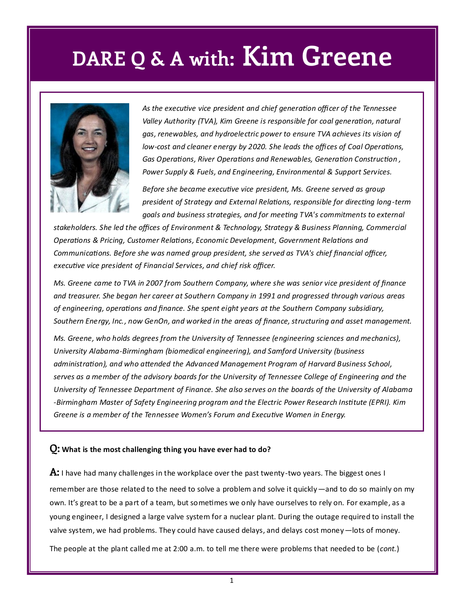### **DARE Q & A with: Kim Greene**



*As the executive vice president and chief generation officer of the Tennessee Valley Authority (TVA), Kim Greene is responsible for coal generation, natural gas, renewables, and hydroelectric power to ensure TVA achieves its vision of low-cost and cleaner energy by 2020. She leads the offices of Coal Operations, Gas Operations, River Operations and Renewables, Generation Construction , Power Supply & Fuels, and Engineering, Environmental & Support Services.*

*Before she became executive vice president, Ms. Greene served as group president of Strategy and External Relations, responsible for directing long-term goals and business strategies, and for meeting TVA's commitments to external* 

*stakeholders. She led the offices of Environment & Technology, Strategy & Business Planning, Commercial Operations & Pricing, Customer Relations, Economic Development, Government Relations and Communications. Before she was named group president, she served as TVA's chief financial officer, executive vice president of Financial Services, and chief risk officer.* 

*Ms. Greene came to TVA in 2007 from Southern Company, where she was senior vice president of finance and treasurer. She began her career at Southern Company in 1991 and progressed through various areas of engineering, operations and finance. She spent eight years at the Southern Company subsidiary, Southern Energy, Inc., now GenOn, and worked in the areas of finance, structuring and asset management.*

*Ms. Greene, who holds degrees from the University of Tennessee (engineering sciences and mechanics), University Alabama-Birmingham (biomedical engineering), and Samford University (business administration), and who attended the Advanced Management Program of Harvard Business School, serves as a member of the advisory boards for the University of Tennessee College of Engineering and the University of Tennessee Department of Finance. She also serves on the boards of the University of Alabama -Birmingham Master of Safety Engineering program and the Electric Power Research Institute (EPRI). Kim Greene is a member of the Tennessee Women's Forum and Executive Women in Energy.*

#### **Q: What is the most challenging thing you have ever had to do?**

**A:** I have had many challenges in the workplace over the past twenty-two years. The biggest ones I remember are those related to the need to solve a problem and solve it quickly—and to do so mainly on my own. It's great to be a part of a team, but sometimes we only have ourselves to rely on. For example, as a young engineer, I designed a large valve system for a nuclear plant. During the outage required to install the valve system, we had problems. They could have caused delays, and delays cost money—lots of money.

The people at the plant called me at 2:00 a.m. to tell me there were problems that needed to be (*cont.*)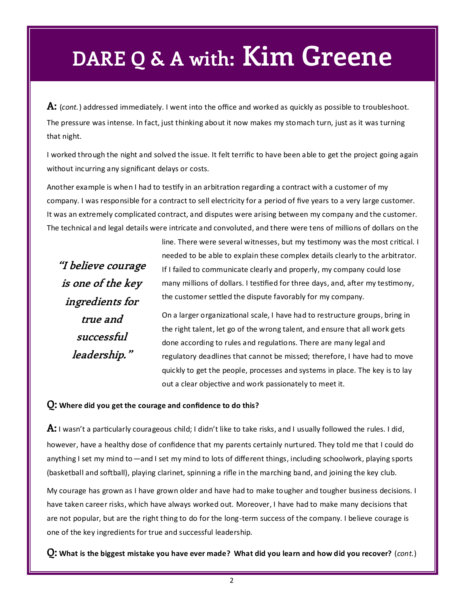## **DARE Q & A with: Kim Greene**

**A:** (*cont.*) addressed immediately. I went into the office and worked as quickly as possible to troubleshoot. The pressure was intense. In fact, just thinking about it now makes my stomach turn, just as it was turning that night.

I worked through the night and solved the issue. It felt terrific to have been able to get the project going again without incurring any significant delays or costs.

Another example is when I had to testify in an arbitration regarding a contract with a customer of my company. I was responsible for a contract to sell electricity for a period of five years to a very large customer. It was an extremely complicated contract, and disputes were arising between my company and the customer. The technical and legal details were intricate and convoluted, and there were tens of millions of dollars on the

**"I believe courage is one of the key ingredients for true and successful leadership."** 

line. There were several witnesses, but my testimony was the most critical. I needed to be able to explain these complex details clearly to the arbitrator. If I failed to communicate clearly and properly, my company could lose many millions of dollars. I testified for three days, and, after my testimony, the customer settled the dispute favorably for my company.

On a larger organizational scale, I have had to restructure groups, bring in the right talent, let go of the wrong talent, and ensure that all work gets done according to rules and regulations. There are many legal and regulatory deadlines that cannot be missed; therefore, I have had to move quickly to get the people, processes and systems in place. The key is to lay out a clear objective and work passionately to meet it.

### **Q: Where did you get the courage and confidence to do this?**

**A:** I wasn't a particularly courageous child; I didn't like to take risks, and I usually followed the rules. I did, however, have a healthy dose of confidence that my parents certainly nurtured. They told me that I could do anything I set my mind to—and I set my mind to lots of different things, including schoolwork, playing sports (basketball and softball), playing clarinet, spinning a rifle in the marching band, and joining the key club.

My courage has grown as I have grown older and have had to make tougher and tougher business decisions. I have taken career risks, which have always worked out. Moreover, I have had to make many decisions that are not popular, but are the right thing to do for the long-term success of the company. I believe courage is one of the key ingredients for true and successful leadership.

**Q: What is the biggest mistake you have ever made? What did you learn and how did you recover?** (*cont.*)

2